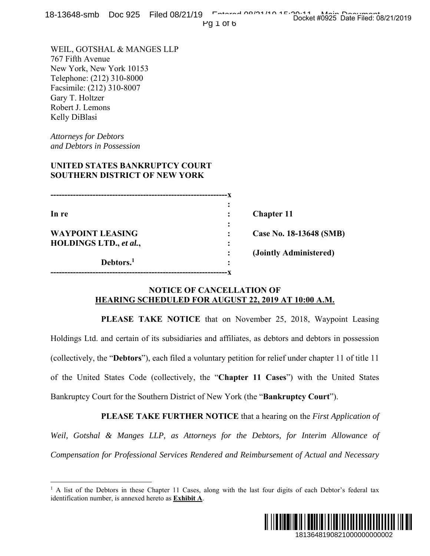Pg 1 of 6

WEIL, GOTSHAL & MANGES LLP 767 Fifth Avenue New York, New York 10153 Telephone: (212) 310-8000 Facsimile: (212) 310-8007 Gary T. Holtzer Robert J. Lemons Kelly DiBlasi

*Attorneys for Debtors and Debtors in Possession* 

 $\overline{a}$ 

# **UNITED STATES BANKRUPTCY COURT SOUTHERN DISTRICT OF NEW YORK**

| In re                         |   | <b>Chapter 11</b>       |
|-------------------------------|---|-------------------------|
|                               | ٠ |                         |
| <b>WAYPOINT LEASING</b>       |   | Case No. 18-13648 (SMB) |
| <b>HOLDINGS LTD., et al.,</b> |   |                         |
|                               |   | (Jointly Administered)  |
| Debtors. <sup>1</sup>         | ٠ |                         |
|                               |   |                         |

### **NOTICE OF CANCELLATION OF HEARING SCHEDULED FOR AUGUST 22, 2019 AT 10:00 A.M.**

 **PLEASE TAKE NOTICE** that on November 25, 2018, Waypoint Leasing Holdings Ltd. and certain of its subsidiaries and affiliates, as debtors and debtors in possession (collectively, the "**Debtors**"), each filed a voluntary petition for relief under chapter 11 of title 11 of the United States Code (collectively, the "**Chapter 11 Cases**") with the United States Bankruptcy Court for the Southern District of New York (the "**Bankruptcy Court**"). 1913648 (SMB)<br>
1913648 (SMB)<br>
ministered)<br>
10:00 A.M.<br>
2018, Waypoint Leasing<br>
and debtors in possession<br>
nder chapter 11 of title 11<br>
with the United States<br>
tey Court").<br>
n the *First Application of*<br> *r Interim Allowan* 

 **PLEASE TAKE FURTHER NOTICE** that a hearing on the *First Application of Weil, Gotshal & Manges LLP, as Attorneys for the Debtors, for Interim Allowance of Compensation for Professional Services Rendered and Reimbursement of Actual and Necessary* 

<sup>&</sup>lt;sup>1</sup> A list of the Debtors in these Chapter 11 Cases, along with the last four digits of each Debtor's federal tax identification number, is annexed hereto as **Exhibit A**.

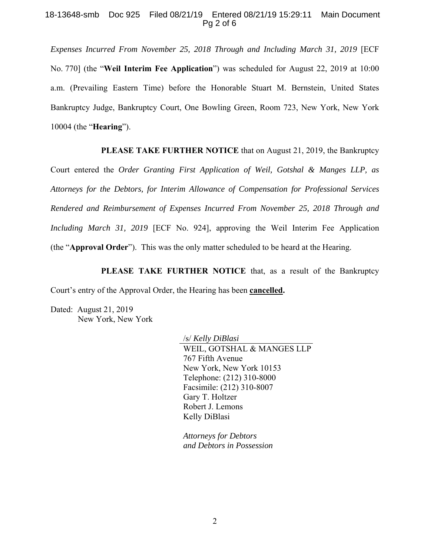#### 18-13648-smb Doc 925 Filed 08/21/19 Entered 08/21/19 15:29:11 Main Document Pg 2 of 6

*Expenses Incurred From November 25, 2018 Through and Including March 31, 2019* [ECF No. 770] (the "**Weil Interim Fee Application**") was scheduled for August 22, 2019 at 10:00 a.m. (Prevailing Eastern Time) before the Honorable Stuart M. Bernstein, United States Bankruptcy Judge, Bankruptcy Court, One Bowling Green, Room 723, New York, New York 10004 (the "**Hearing**").

 **PLEASE TAKE FURTHER NOTICE** that on August 21, 2019, the Bankruptcy

Court entered the *Order Granting First Application of Weil, Gotshal & Manges LLP, as Attorneys for the Debtors, for Interim Allowance of Compensation for Professional Services Rendered and Reimbursement of Expenses Incurred From November 25, 2018 Through and Including March 31, 2019* [ECF No. 924], approving the Weil Interim Fee Application (the "**Approval Order**"). This was the only matter scheduled to be heard at the Hearing.

 **PLEASE TAKE FURTHER NOTICE** that, as a result of the Bankruptcy Court's entry of the Approval Order, the Hearing has been **cancelled.** 

Dated: August 21, 2019 New York, New York

> /s/ *Kelly DiBlasi*  WEIL, GOTSHAL & MANGES LLP 767 Fifth Avenue New York, New York 10153 Telephone: (212) 310-8000 Facsimile: (212) 310-8007 Gary T. Holtzer Robert J. Lemons Kelly DiBlasi

*Attorneys for Debtors and Debtors in Possession*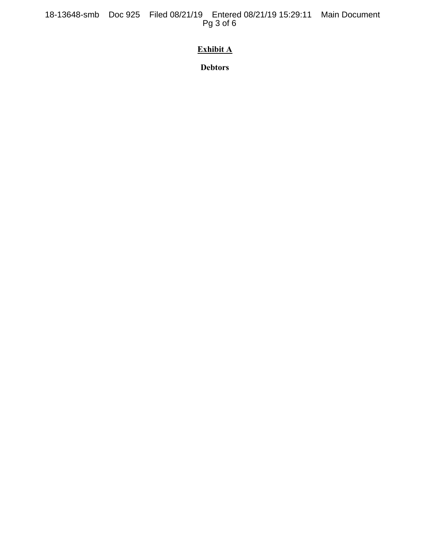18-13648-smb Doc 925 Filed 08/21/19 Entered 08/21/19 15:29:11 Main Document Pg 3 of 6

# **Exhibit A**

**Debtors**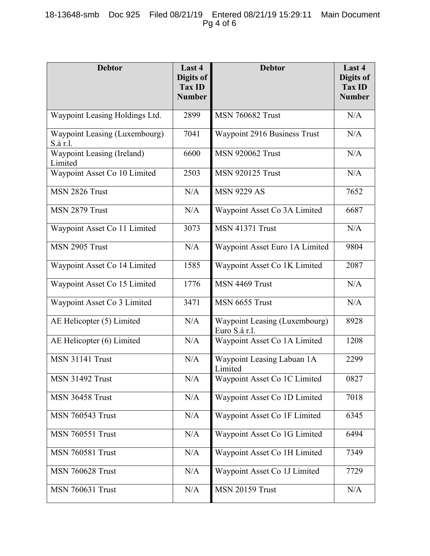| <b>Debtor</b>                             | Last 4<br>Digits of<br><b>Tax ID</b><br><b>Number</b> | <b>Debtor</b>                                  | Last 4<br>Digits of<br><b>Tax ID</b><br><b>Number</b> |
|-------------------------------------------|-------------------------------------------------------|------------------------------------------------|-------------------------------------------------------|
| Waypoint Leasing Holdings Ltd.            | 2899                                                  | <b>MSN 760682 Trust</b>                        | N/A                                                   |
| Waypoint Leasing (Luxembourg)<br>S.à r.l. | 7041                                                  | Waypoint 2916 Business Trust                   | N/A                                                   |
| Waypoint Leasing (Ireland)<br>Limited     | 6600                                                  | <b>MSN 920062 Trust</b>                        | N/A                                                   |
| Waypoint Asset Co 10 Limited              | 2503                                                  | <b>MSN 920125 Trust</b>                        | N/A                                                   |
| MSN 2826 Trust                            | N/A                                                   | <b>MSN 9229 AS</b>                             | 7652                                                  |
| MSN 2879 Trust                            | N/A                                                   | Waypoint Asset Co 3A Limited                   | 6687                                                  |
| Waypoint Asset Co 11 Limited              | 3073                                                  | <b>MSN 41371 Trust</b>                         | N/A                                                   |
| MSN 2905 Trust                            | N/A                                                   | Waypoint Asset Euro 1A Limited                 | 9804                                                  |
| Waypoint Asset Co 14 Limited              | 1585                                                  | Waypoint Asset Co 1K Limited                   | 2087                                                  |
| Waypoint Asset Co 15 Limited              | 1776                                                  | MSN 4469 Trust                                 | N/A                                                   |
| Waypoint Asset Co 3 Limited               | 3471                                                  | MSN 6655 Trust                                 | N/A                                                   |
| AE Helicopter (5) Limited                 | N/A                                                   | Waypoint Leasing (Luxembourg)<br>Euro S.à r.l. | 8928                                                  |
| AE Helicopter (6) Limited                 | N/A                                                   | Waypoint Asset Co 1A Limited                   | 1208                                                  |
| <b>MSN 31141 Trust</b>                    | N/A                                                   | Waypoint Leasing Labuan 1A<br>Limited          | 2299                                                  |
| <b>MSN 31492 Trust</b>                    | N/A                                                   | Waypoint Asset Co 1C Limited                   | 0827                                                  |
| <b>MSN 36458 Trust</b>                    | N/A                                                   | Waypoint Asset Co 1D Limited                   | 7018                                                  |
| <b>MSN 760543 Trust</b>                   | N/A                                                   | Waypoint Asset Co 1F Limited                   | 6345                                                  |
| <b>MSN 760551 Trust</b>                   | N/A                                                   | Waypoint Asset Co 1G Limited                   | 6494                                                  |
| <b>MSN 760581 Trust</b>                   | N/A                                                   | Waypoint Asset Co 1H Limited                   | 7349                                                  |
| <b>MSN 760628 Trust</b>                   | N/A                                                   | Waypoint Asset Co 1J Limited                   | 7729                                                  |
| <b>MSN 760631 Trust</b>                   | N/A                                                   | <b>MSN 20159 Trust</b>                         | N/A                                                   |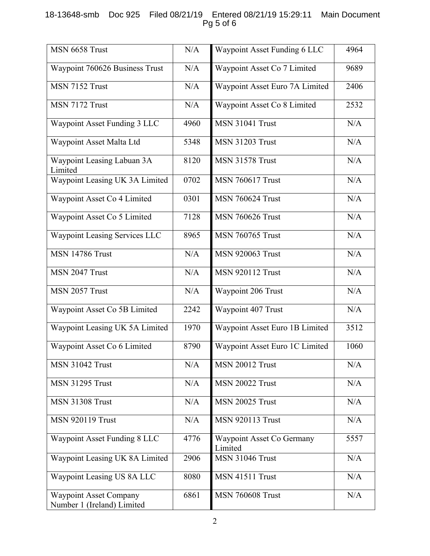# 18-13648-smb Doc 925 Filed 08/21/19 Entered 08/21/19 15:29:11 Main Document Pg 5 of 6

| MSN 6658 Trust                                              | N/A  | Waypoint Asset Funding 6 LLC         | 4964 |
|-------------------------------------------------------------|------|--------------------------------------|------|
| Waypoint 760626 Business Trust                              | N/A  | Waypoint Asset Co 7 Limited          | 9689 |
| MSN 7152 Trust                                              | N/A  | Waypoint Asset Euro 7A Limited       | 2406 |
| MSN 7172 Trust                                              | N/A  | Waypoint Asset Co 8 Limited          | 2532 |
| Waypoint Asset Funding 3 LLC                                | 4960 | <b>MSN 31041 Trust</b>               | N/A  |
| Waypoint Asset Malta Ltd                                    | 5348 | <b>MSN 31203 Trust</b>               | N/A  |
| Waypoint Leasing Labuan 3A<br>Limited                       | 8120 | <b>MSN 31578 Trust</b>               | N/A  |
| Waypoint Leasing UK 3A Limited                              | 0702 | <b>MSN 760617 Trust</b>              | N/A  |
| Waypoint Asset Co 4 Limited                                 | 0301 | <b>MSN 760624 Trust</b>              | N/A  |
| Waypoint Asset Co 5 Limited                                 | 7128 | <b>MSN 760626 Trust</b>              | N/A  |
| Waypoint Leasing Services LLC                               | 8965 | <b>MSN 760765 Trust</b>              | N/A  |
| <b>MSN 14786 Trust</b>                                      | N/A  | <b>MSN 920063 Trust</b>              | N/A  |
| MSN 2047 Trust                                              | N/A  | <b>MSN 920112 Trust</b>              | N/A  |
| MSN 2057 Trust                                              | N/A  | Waypoint 206 Trust                   | N/A  |
| Waypoint Asset Co 5B Limited                                | 2242 | Waypoint 407 Trust                   | N/A  |
| Waypoint Leasing UK 5A Limited                              | 1970 | Waypoint Asset Euro 1B Limited       | 3512 |
| Waypoint Asset Co 6 Limited                                 | 8790 | Waypoint Asset Euro 1C Limited       | 1060 |
| <b>MSN 31042 Trust</b>                                      | N/A  | <b>MSN 20012 Trust</b>               | N/A  |
| <b>MSN 31295 Trust</b>                                      | N/A  | <b>MSN 20022 Trust</b>               | N/A  |
| <b>MSN 31308 Trust</b>                                      | N/A  | <b>MSN 20025 Trust</b>               | N/A  |
| <b>MSN 920119 Trust</b>                                     | N/A  | <b>MSN 920113 Trust</b>              | N/A  |
| Waypoint Asset Funding 8 LLC                                | 4776 | Waypoint Asset Co Germany<br>Limited | 5557 |
| Waypoint Leasing UK 8A Limited                              | 2906 | <b>MSN 31046 Trust</b>               | N/A  |
| Waypoint Leasing US 8A LLC                                  | 8080 | <b>MSN 41511 Trust</b>               | N/A  |
| <b>Waypoint Asset Company</b><br>Number 1 (Ireland) Limited | 6861 | <b>MSN 760608 Trust</b>              | N/A  |